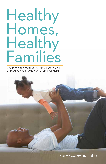# Healthy Homes, Healthy **Families**

A GUIDE TO PROTECTING YOUR FAMILY'S HEALTH BY MAKING YOUR HOME A SAFER ENVIRONMENT

Monroe County 2020 Edition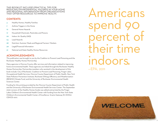THIS BOOKLET INCLUDES PRACTICAL TIPS FOR REDUCING ENVIRONMENTAL HAZARDS IN YOUR HOME AND REGIONAL INFORMATION FROM ORGANIZATIONS THAT OFFER RESOURCES TO IMPROVE HEALTH.

## **CONTENTS**

- **4** Healthy Homes, Healthy Families
- **7** Asthma Triggers in the Home
- **12** General Home Hazards
- **17** Household Chemicals, Pesticides and Poisons
- **20** Indoor Air Quality (IAQ)
- **24** Lead Hazards
- **28** Nutrition: Summer Meals and Regional Farmers' Markets
- **30** Legal/Financial Information
- **31** National and State Healthy Homes Resources

## **ACKNOWLEDGMENTS**

This publication was brought to you by the Coalition to Prevent Lead Poisoning and the Rochester Healthy Homes Partnership.

Many agencies in Monroe County offer services and information related to improving home environmental health. These agencies are linked through the Rochester Healthy Homes Partnership. Partnership members who assisted in the development of this book include: City of Rochester, Coalition to Prevent Lead Poisoning, Finger Lakes Occupational Health Services, Monroe County Department of Public Health, New York State Pollution Prevention Institute, Rochester ENergy Efficiency and Weatherization (RENEW) Climate Fund, and the University of Rochester Environmental Health Sciences Center.

Funding for this printing provided by the Monroe County Department of Public Health and the University of Rochester Environmental Health Services Center. The September 2020 revision of the Healthy Homes Guide was edited and printed by the Finger Lakes Children's Environmental Health Center with funding from the New York State Children's Environmental Health Center of Excellence. Grants Gateway ID: DOH01- CEHCE1-2017.

Americans spend percent of their time indoors. —EPA, 2011

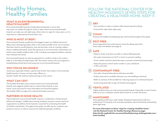## Healthy Homes, Healthy Families

### **WHAT IS AN ENVIRONMENTAL HEALTH HAZARD?**

Environmental health hazards include physical hazards or toxins that may enter our bodies through air, food or water. Some environmental health hazards can make you sick right away; others show no signs for many years, so it is important to understand and avoid them now.

## **WHO IS MOST AT RISK?**

Environmental hazards usually have the biggest impact on children because it affects their developing bodies while in the womb and after birth, not to mention that their hand-to-mouth behavior, size and activities, such as crawling, subject them to additional hazards. Early life exposures to environmental contaminants can lead to many health problems later in life, including neurological problems, obesity, heart disease and cancer.

Environmental hazards can also be passed from a mother's body to her unborn baby or to the baby through breast milk. This means women who are pregnant or breastfeeding should also avoid exposure to environmental hazards.

## **WHY FOCUS ON HOMES?**

Americans, especially children, spend most of their time indoors. Environmental health hazards in homes can have major effects on families' health, like asthma, lead poisoning or even cancer.

### **WHAT CAN I DO?**

This booklet describes some common home environmental health hazards and suggests simple ways to reduce these hazards in your home. Local resources for more information are found throughout the booklet. Refer to page 31 for national and state resources.

## **PARTNERS IN HOME HEALTH**

Improving home environmental health requires a combination of physical and behavioral changes. Collaboration among residents, property owners and local organizations to address home hazards is essential for protecting the health of children and families. Throughout this guide, we offer tips for residents and property owners, as well as resources for addressing larger problems.

## FOLLOW THE NATIONAL CENTER FOR HEALTHY HOUSING'S SEVEN STEPS FOR CREATING A HEALTHIER HOME. KEEP IT:

#### **DRY 1**

• Use vent fans or open a window while showering and cooking.

• Find and fix water leaks right away.

#### **CLEAN 2**

Practice the healthy housekeeping tips mentioned throughout this guide.

#### **PEST-FREE 3**

Discourage pests from entering your home by taking away their food, water and shelter (see page 9).

#### **SAFE 4**

- Reduce clutter and clean up spills to reduce falling hazards.
- Set water temperature at 120°F or lower to prevent scalding.
- Cover outlets and lock chemicals away to prevent unintentional poisonings.
- Keep the poison control center number in your cell phone (1-800-222-1222).

#### **CONTAMINANT-FREE 5**

- Use safer chemical alternatives whenever possible.
- Follow instructions carefully whenever you are handling a chemical.
- Refer to sections of this booklet for reducing exposure to chemical hazards.
- Avoid using pesticides to get rid of pests (see page 9).

#### **VENTILATED 6**

Tightly sealed homes can trap environmental hazards. Especially in newer homes, make sure your ventilation system allows fresh air to enter the house.

#### **MAINTAINED 7**

Have appliances (furnace, water heater, fireplace) inspected annually by a professional. Fix hazards such as broken handrails, electrical hazards and peeling paint right away.

**For more information on these "steps for creating a healthier home," visit the National Center for Healthy Housing's Resources page: https://nchh.org/build-the-movement/healthyhousing-challenge/make-yourhome-healthy/**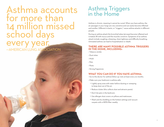## Asthma accounts for more than 14 million missed school days every year. —AMERICAN LUNG ASSOCIATION

## Asthma Triggers in the Home

Asthma is chronic, meaning it cannot be cured. When you have asthma, the air passages in your lungs are very sensitive and can easily become inflamed and swollen. Different irritants, or "triggers," cause asthma attacks in different people.

During an asthma attack the bronchial tubes (airways) become inflamed and irritated, fill with mucus and the muscles constrict. Symptoms of an asthma attack include coughing, wheezing, chest tightness and difficulty breathing. Untreated asthma can lead to hospitalization or death.

### **THERE ARE MANY POSSIBLE ASTHMA TRIGGERS IN THE HOME, INCLUDING:**

- Tobacco smoke
- Dust mites
- Mold
- Pets
- Pests
- Strong fragrances

## **WHAT YOU CAN DO IF YOU HAVE ASTHMA:**

- Go to the doctor for asthma follow-up visits at least every six months.
- Make sure your bedroom is asthma safe:
- Lightly spray area with water before dusting or sweeping to keep dust out of the air.
- Reduce clutter (this collects dust and attracts pests).
- Don't let pets in the bedroom.
- Use allergen dust covers on pillows and mattresses.
- Wash and dry bedding on the hottest settings and vacuum carpets with a HEPA filter weekly.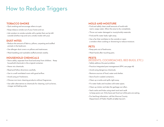## How to Reduce Triggers

## **TOBACCO SMOKE**

- Quit smoking and encourage others to quit.
- Keep tobacco smoke out of your home and car.
- Ask smokers to smoke outside with a jacket that can be left outside (clothes trap and carry smoke inside with you).

### **DUST MITES**

- Reduce the amount of fabrics, pillows, carpeting and stuffed animals in the bedroom.
- Use allergen dust covers on pillows and mattresses.
- Wash bedding and washable stuffed animals weekly.

## **HOUSEHOLD CHEMICALS**

- Store safely, separate from food and away from children. Keep household chemicals in the original container.
- Never mix chemicals.
- Read and follow directions carefully.
- Use in a well-ventilated room with good airflow.
- Avoid using air fresheners.
- Choose non-toxic cleaning products without fragrances.
- Use safer alternatives to chemicals for cleaning, such as borax, vinegar and baking soda.

## **MOLD AND MOISTURE**

- Find and safely clean small amounts of mold with warm, soapy water. Allow the area to dry completely.
- Throw out water-damaged or musty/moldy materials.
- Find and fix water leaks right away.
- Use a fan that ventilates to the outside or open a window when cooking or showering to reduce moisture.

### **PETS**

- Keep pets out of bedrooms.
- Wash hands after touching pets.

### **PESTS**

## (RODENTS, COCKROACHES, BED BUGS, ETC.)

- Safely address the pest problem.
- Practice integrated pest management (IPM, see page 18)
- Avoid using dangerous chemicals.
- Remove sources of food, water and shelter.
- Store food in sealed containers.
- Clean up crumbs and spills right away.
- Fix water leaks and insulate cold water pipes.
- Clean up clutter and take the garbage out often.
- Seal cracks and holes using steel wool and caulk to keep pests out. Only leave pet food out while pets are eating.
- For bed bug infestation, call the Monroe County Department of Public Health at (585) 753-5171.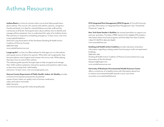## Asthma Resources

**Asthma Basics** is a free 50-minute online course that helps people learn about asthma. This course is for anyone with asthma—parents, caregivers, friends and family. It is ideal for school/childcare provider staff and the community at all levels. Participants learn about asthma, how to identify and manage asthma symptoms, how to understand the value of an Asthma Action Plan and how to respond to a breathing emergency. To learn more, visit www. Lung.org/asthmabasics.

American Lung Association of the Northeast (Smoking & Health Action Coalition of Monroe County) (585) 666-1395 www.smokefreemonroe.com

**Lungtropolis®** is a free, fun-filled website for kids ages 5 to 10 with asthma and a great source of advice for parents. When kids visit Lungtropolis, they become asthma control agents and conquer the mucus mob. While playing they learn how to control their asthma.

The website guides parents through steps to help recognize and manage their child's asthma symptoms. Interactive quizzes and questions make it easy to learn how to keep their child healthy and active. To learn more, visit www.lungtropolis.com.

#### **Monroe County Department of Public Health—Indoor Air Quality** provides

in-home environmental assessments of potential causes of poor indoor air quality such as furnace combustion, radon and carbon monoxide. (585) 753-5075 www.monroecounty.gov/eh-indoorairquality.php

**NYS Integrated Pest Management (IPM) Program** of Cornell University provides information on Integrated Pest Management. See "Household Chemicals," page 18.

**New York State Smoker's Quitline** has trained specialists to support you and your quit plans. Provides a FREE starter kit for eligible NYS smokers, information about local quit programs and free help from Quit Coaches. 1-866-NY-QUITS (1-866-697-8487) www.nysmokefree.com

**Smoking and Health Action Coalition** provides education and policy information regarding creating smoke-free housing in multi-unit apartment buildings. (585) 666-1399 Smoking & Health Action Coalition of Monroe County (American Lung Assocation of the Northeast) Apopovici@lungne.com www.smokefreemonroe.com

#### **University of Rochester Environmental Health Sciences Center**

offers a virtual tour of a healthy home with information about how to reduce environmental health hazards in your own home. www.ehsc.urmc.edu/healthyhomes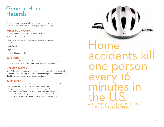## General Home Hazards

There are a variety of general home hazards that can cause unintentional injuries such as poisoning, falling and choking.

## **WHAT YOU CAN DO**

Set your water temperature at or below 120°F.

Reduce clutter and make repairs to prevent falls.

Keep chemicals (cleaners, medicine, etc.) away from children. Store them:

• Away from food

• High up

• Behind childproof locks

## **SAFE DRIVING**

Always wear seatbelts in the car. Secure children in an age-appropriate car seat until their 8th birthday in accordance with New York State law.

## **HELMET SAFETY**

New York State law requires helmets when riding bikes, skateboarding, riding on a scooter, rollerblading and skating up until the age of 14. Teens and adults should also wear helmets to prevent serious injury.

## **SAFE SLEEP**

Always sleep babies on their back in an empty crib without blankets, bumpers or toys; items in the crib can cause your baby to suffocate. A baby that sleeps or naps with a parent or sibling can be crushed or suffocated. Even five minutes in an unsafe sleep environment can cause death. Your baby is safest without a blanket and sleeping on their back. For warmth, dress your baby in sleep clothing such as a one-piece sleeper.

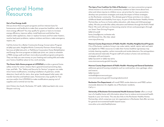## General Home Resources

#### **Get a Free Energy Audit**

Did you know there are grant programs and low-interest loans for homeowners and landlords to make their properties healthier, safer and more energy efficient? You may qualify for grants or loans to increase energy efficiency, improve safety, install bathroom and kitchen fans, replace older appliances, clean or replace furnaces and hot water heaters, resolve lead paint problems, replace windows and doors, make emergency repairs, etc.

Call the Action for a Better Community Energy Conservation Program at (585) 442-4160, NeighborWorks Community Partners Home Energy Services at (585) 325-4170, or PathStone Corporation Home Rehabilitation and Energy Services programs at (585) 546-3700, ext. 3025 to schedule a FREE energy audit and learn more about possible programs and grants. They can help you save money on your heating and cooling bills and make your home a healthier place to live, work and play.

**The Home-Safe-Home program at LIFESPAN** provides a general home safety review for senior citizens that is geared toward preventing slips, trips, and falls. The "Safety and Security for Seniors" program can make minor home modifications, including installation of grab bars, smoke detectors, hand rails for stairs, door grips, handicapped toilet seats, tub transfer benches and bathtub seats. Homeowners may qualify for free services and/or hire LIFESPAN to make modifications paying cost of supplies and a nominal service fee.

900 Clinton Ave South, Rochester, NY 14618, (585) 244-8400 x151, www. lifespan-roch.org

**The Injury Free Coalition for Kids of Rochester** is an injury prevention program whose mission is to work with a community coalition to learn more about how, when and where injuries to children occur, set priorities for injury prevention, develop new prevention strategies and study the impact of these strategies on the Rochester community. The ultimate goal of these activities is to reduce childhood death and disability from injury. As part of the Rochester Healthy Homes Partnership, we focus on home safety education, safe sleep and child passenger safety. We also provide bike safety education and helmets through the Kohl's Pedal Patrol. We work with teens on becoming smarter drivers and passengers through our Smart Teen Driving Program. (585) 273-4238 karen\_knauf@urmc.rochester.edu 601 Elmwood Ave., Box 655, 14642 www.injuryfree.org

#### **Monroe County Department of Public Health—Healthy Neighborhood Program**.

City of Rochester residents living in zip codes 14605, 14608, 14609, 14611 and 14621 are eligible for FREE resources to make their homes healthier (giveaways may include cleaning supplies, carbon monoxide and smoke detectors, fire extinguishers and educational materials). Program staff will conduct a home visit and discuss strategies with participants. (585) 753-5070 or (585) 753-5073 www.monroecounty.gov/eh-hnp.php

#### **Monroe County Department of Public Health—Housing and General Sanitation**

addresses general housing complaints such as cockroaches, mice, garbage, odors and insects.

(585) 753-5171 mchealth@monroecounty.gov www.monroecounty.gov/eh-housingrodentcontrol

**Rochester Fire Department** will install FREE smoke detectors and FREE carbon monoxide detectors for eligible city of Rochester residents. Call 3-1-1.

**University of Rochester Environmental Health Sciences Center** offers a virtual tour of a healthy home with information about how to reduce environmental health hazards in your own home. This site also links to the Rochester Healthy Homes Partnership, which comprises over 30 organizations in Rochester that offer services for general environmental health hazard issues. www.ehsc.urmc.edu/healthyhomes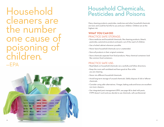Household cleaners are the number ne cause oisonin children. —EPA



## Household Chemicals, Pesticides and Poisons

Many cleaning products, pesticides, medicines and other household chemicals are toxic and could be harmful to you and your children. Children are at the highest risk.

## **WHAT YOU CAN DO** PRACTICE SAFE STORAGE:

- Store medicine and household chemicals, like cleaning products, bleach, pesticides, automotive products and paint, out of the reach of children.
- Use a locked cabinet whenever possible.
- Never leave household chemicals out or unattended.
- Store all products in their original container.
- Store chemicals separate from food products. Many chemical containers look like common food containers.

## PRACTICE SAFE USE:

- Read labels on household chemicals very carefully and follow directions.
- Keep the room well-ventilated and have good air flow while you are cleaning.
- Never mix different household chemicals.
- Avoid long-term storage of unused chemicals. Safely dispose of old or leftover chemicals.
- Consider using safer alternatives. Vinegar, baking soda and borax are excellent non-toxic cleaners.
- Use integrated pest management (IPM, see page 18) to deal with pests. If IPM doesn't work and you decide to use chemicals, call a professional.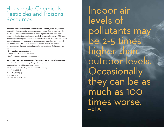## Household Chemicals, Pesticides and Poisons Resources

**Monroe County Household Hazardous Waste Facility** (EcoPark) accepts recyclables that cannot be placed curbside. Monroe County also provides information on household chemicals, including mercury and pesticides. Regular collection (no appointment needed) accepts electronics, CFL bulbs, scrap metal, clothing and standard curbside recyclables. Special events allow residents to drop off household hazardous wastes (appointment required) and medications. The service is free, but there is a small fee for some items such as refrigerant-containing appliances and tires. Call to make an appointment.

(585) 753-7600 (menu option 3) 10 Avion Dr., 14624 (near the airport) https://www.monroecounty.gov/ecopark/

#### **NYS Integrated Pest Management (IPM) Program of Cornell University**

provides information on integrated pest management (safer methods to address pest problems). NYS Community IPM Program of Cornell University 2449 St. Paul Blvd. Rochester, NY 14617 (585) 753-2562 www.nysipm.cornell.edu

Indoor air levels of pollutants may be 2-5 times higher than outdoor levels. **Occasionally** they can be as much as 100 times worse. —EPA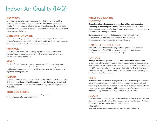## Indoor Air Quality (IAQ)

### **ASBESTOS**

Asbestos is a naturally occurring mineral fiber that was used in building insulation, floor and ceiling tiles and other materials until it was banned in 1989. When the material is broken or crumbling, fibers can be breathed in through the air. Long-term exposure to these fibers can cause asbestosis, lung cancer or mesothelioma.

## **CARBON MONOXIDE**

Carbon monoxide (CO) is an odorless, colorless, toxic gas. It comes from burning fuels (gas, oil, etc.). CO can kill you or make you ill before you are even aware it is present. Only a CO detector can detect it.

## **FURNACE**

If you have a hot air furnace, it greatly impacts your home's air quality. Make sure your furnace is working properly to avoid indoor air problems like dust and carbon monoxide.

## **MOLD**

Mold is a fungus that grows in moist, warm areas of the home, like the attic, basement, bathroom and kitchen. Certain molds can cause respiratory and sinus problems or asthma attacks. Many molds are harmless, but some can cause significant health problems.

### **RADON**

Radon is a colorless, odorless, naturally occurring, radioactive gas found in soil. Radon may enter basements of houses through cracks in concrete walls and floors or through dirt floors. It is the second leading cause of lung cancer in the United States.

## **TOBACCO SMOKE**

Tobacco smoke can cause many serious health problems. See pages 7 and 8 for more information.

## **WHAT YOU CAN DO** ASBESTOS

**If your home has asbestos that is in good condition—not cracked or crumbling—it does not pose a hazard.** However, contact an asbestos abatement and removal professional if you have asbestos in poor condition, are not sure or are planning to remodel.

Consult the yellow pages to find asbestos abatement contractors or go to the New York State Department of Health website: www.health.ny.gov/environmental/indoors/asbestos/

## CARBON MONOXIDE (CO)

**Install a CO detector near sleeping and living areas.** The Rochester Fire Department offers FREE smoke and carbon monoxide detectors for eligible city of Rochester residents. Call 3-1-1.

### FURNACE

**Have your furnace inspected annually by a professional.** Replace your furnace filter with a new, high-quality filter 3–5 times a year or as specified by your product. For disposable filters, choose one that is accordion-style and has a "MERV" (minimum efficiency reporting value) rating of 8–12. Get an Energy Audit and see if you qualify for a new furnace through a local grant program. See "Energy Audit" on page 14.

### MOLD

**Reduce moisture to prevent mold growth.** Use vent fans or open a window when showering or cooking. Insulate cold water pipes, fix water leaks and clean up spills immediately. Clean small amounts of mold with soapy water or a 10% bleach solution (about 1.5 tablespoons per cup).For bigger jobs, contact Monroe County Department of Public Health at (585) 753-5171.

### RADON

**Test your home.** Inexpensive kits can be purchased online or at any hardware store, or through the New York State Department of Health, Radon Division. This is also a great resource for radon information.

1-800-458-1158

www.health.ny.gov/environmental/radiological/radon/radon.htm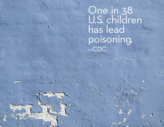One in 38 U.S. children has lead poisoning. —CDC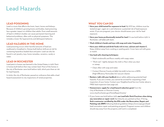## Lead Hazards

## **LEAD POISONING**

Lead is a toxin that affects the brain, heart, bones and kidneys. Because of children's growing brains and bodies, lead poisoning has a greater impact on children than adults. Even small amounts of lead in children's bodies can cause permanent learning and behavioral problems, often with no physical symptoms. This includes a lower IQ, hyperactivity and delinquent behavior.

## **LEAD HAZARDS IN THE HOME**

Lead poisoning occurs when harmful amounts of lead are swallowed or breathed in. Homes built before 1978 are at risk for containing hazardous leaded dust and paint. Lead can also be found in soil, jewelry, toys, home remedies, ceramics, candy or water.

## **LEAD IN ROCHESTER**

Lead paint in homes was banned in the United States in 1978. Paint in homes built before then may contain lead. Most of the homes in the city of Rochester were built before 1978, which puts them at risk for lead hazards.

In 2005, the city of Rochester passed an ordinance that adds a lead hazard assessment to city inspections of rental properties.

## **WHAT YOU CAN DO**

- **Have your child tested for exposure to lead.** By NYS law, children must be tested at age 1, again at 2, and whenever a potential risk of lead exposure exists. If you are pregnant, your doctor should assess your risk for lead exposure.
- **Have your home professionally tested for lead** if it was built before 1978. In Rochester, call (585) 428-6520.
- **Wash children's hands and toys with soap and water frequently.**
- **Have your child eat and drink foods rich in iron, calcium and vitamin C.** Keep children away from cracking or peeling paint. Cover bare soil with grass or mulch.
- **Use lead-safe cleaning techniques:**
	- Wash windowsills and floors weekly with soapy water.
	- "Work wet"—lightly dampen the cloth or floor when you dust or sweep.
	- Clean often with soap and water.
	- Contact Monroe County at (585) 753-5087 to borrow a HEPA (High-Efficiency Particulate Air) vacuum cleaner.
- **Renters—talk with your landlord** about safely addressing potential lead hazards. If you are a renter, you cannot be evicted for requesting a lead inspection of your home. Contact your Neighborhood Service Center about a FREE lead inspection (see page 30).
- **Homeowners—apply for a lead hazard reduction grant** from the City of Rochester or Monroe County. www.cityofrochester.gov/HomeRepairGrants/
- If your home was built before 1978, **use Lead Safe Work Practices when doing any renovation or repair work** that disturbs any painted surface. If hiring, **find a contractor certified by the EPA under the Renovation, Repair and Painting rule (RRP)** following federal guidelines (https://www.epa.gov/lead/ lead-renovation-repair-and-painting-program). Pregnant women and children should stay away from the property until work is completed.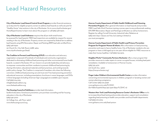## Lead Hazard Resources

**City of Rochester Lead Hazard Control Grant Program** provides financial assistance up to \$14,000 for eligible property owners to address lead hazards as well as \$1,400 for "Healthy Home" interventions in the city of Rochester. Go to www.cityofrochester.gov/ HomeRepairGrants/ to learn more about this program or call (585) 428-6520.

**City of Rochester Lead Ordinance** requires that all pre-1978 rental homes be assessed for lead hazards. FREE lead inspections are available by request for anyone residing in the city of Rochester. Property owners are required by federal law to address lead hazards using EPA Renovation, Repair and Painting (RRP) lead safe certified firms. (585) 428-6520

30 Church St., City Hall, Room 028B, 14614 www.cityofrochester.gov/lead/

**The Coalition to Prevent Lead Poisoning (CPLP)** is an education and advocacy organization composed of hundreds of individuals and community organizations dedicated to eliminating childhood lead poisoning and other environmental home health hazards. Located in Rochester, NY our mission is to provide leadership and advocacy to empower communities and their residents to prevent childhood lead poisoning by sharing information, educational materials and best practices, and working towards public policy change. The Coalition is comprised of members who share the following conviction: childhood lead poisoning can and must end. Free lead poisoning prevention educational resources, including presentations, brochures in seven languages, and DVDs in three languages (including American Sign Language) are available upon request. Call (585) 224-3125.

info@theleadcoalition.org www.theleadcoalition.org

**The Housing Council at PathStone** provides lead information,

landlord education, foreclosure prevention, pre-purchase counseling and fair housing education in the city of Rochester. (585) 546-3700 75 College Ave., 4th Floor, 14607 www.thehousingcouncil.org

**Monroe County Department of Public Health Childhood Lead Poisoning Prevention Program** offers general information on lead hazards and provides FREE Lead Safe Work Practices training courses open to any professionals seeking EPA RRP (Renovation, Repair and Painting) certification as well as homeowners. Register by calling Cornell University, Industrial Labor Relations at (585) 206-7642. Classes are free, but seating is limited so you must preregister.

**Monroe County Department of Public Health Lead Primary Prevention Program for Pregnant Women & Infants** offers information on lead poisoning prevention and ways to have a healthy home. City of Rochester residents who are pregnant or have a child aged up to one year old are eligible for FREE resources to make their homes healthier. Call (585) 753-5575.

**NeighborWorks® Community Partners Rochester** offers a loan program that provides resources to make repairs to owner-occupied houses, including lead paint remediation. Available to homeowners in Monroe County. (585) 325-4170 570 South Ave., 14620 https://nwcprochester.org/

**Finger Lakes Children's Environmental Health Center** provides information concerning environmental exposures in children, pregnant or lactating women and women planning a pregnancy. Call Center (585) 275-3638 www.golisano.urmc.edu/FLCEHC (Se Habla Español) 844-352-3420 (844-FLCEHC-0)

**Western New York Lead Poisoning Resource Center's Rochester Office** works to increase blood lead testing and provides education, support and consultation regarding lead poisoning to health care providers and local health departments. Call (585) 276-3105. www.golisano.urmc.edu/lead-poison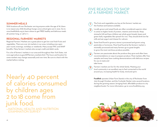## Nutrition

## **SUMMER MEALS**

With locations all over Rochester serving anyone under the age of 18, there is no reason any child should go hungry once school gets out in June. Go to www.healthikids.org to learn where to get FREE healthy and delicious meals all summer long, or call 2-1-1.

## **REGIONAL FARMERS' MARKETS**

Regional Farmers' Markets are a great place to get low-cost fresh fruits and vegetables. There are over 30 markets in our area, including ones open year-round, evenings, workdays or weekends. Many accept WIC and SNAP benefits. Many farmers' markets also accept credit and debit cards.

For a list of farmers' markets in our area and throughout New York State, visit www.agriculture.ny.gov/AP/farmers\_markets.html. The hours and location for some markets may change seasonally and over time. Be sure to check with the market before visiting.

Nearly 40 percent of calories consumed by children ages 2 to 18 come from junk food. —NATIONAL HEALTH AND NUTRITION EXAMINATION SURVEY

## FIVE REASONS TO SHOP AT A FARMERS' MARKET:

- The fruits and vegetables you buy at the farmers' market are the freshest and tastiest available. **1**
- Locally grown and raised foods are often considered superior when it comes to higher levels of protein, vitamins and minerals. Keep stomachs full and have children eat whole-grain breads, beans and green leafy vegetables like spinach for iron. They should drink low-fat milk and eat yogurt and cheese for calcium. **2**
- Some food found in grocery stores is processed and grown using pesticides or hormones. Most food found at the farmers' market is minimally processed and many farmers go to great lengths to grow the most nutritious produce possible. **3**
- Farmers are passionate about the produce they grow and often have recommendations on ways to prepare produce. Most markets offer free samples and many have cooking demonstrations with delicious recipes for you to taste and take home. **4**
- Farmers' markets are fun for the whole family. Meeting your local community is an excellent way to feel connected to the world around you, increasing health for body, mind and spirit. **5**

**Foodlink** operates Urban Farm Stands in the city of Rochester from July through October, and the Curbside Market visits several locations during the growing season, bringing fresh, affordable produce to city neighborhoods. For more information, go to www.foodlinkny.org

![](_page_14_Picture_14.jpeg)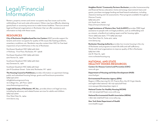## Legal/Financial Information

Renters, property owners and owner-occupants may face issues such as the withholding of rent and code enforcement. Others may have difficulty obtaining grants/loans or accessing resources to make homes healthier. There are several legal and financial organizations in Rochester that can offer assistance and information to help with these issues.

## **RESOURCES**

**City of Rochester Neighborhood Service Centers** (NSC) provide support for tenants and owner-occupants for quality-of-life issues like heating problems, unsanitary conditions, etc. Residents may also contact their NSC for free lead inspections of pre-1978 homes in the city of Rochester.

Northwest Quadrant NSC (585) 428-7620 71 Parkway - First Floor, Rochester, NY 14608

Northeast Quadrant NSC (585) 428-7660 500 Norton St., 14621

Southwest Quadrant NSC (585) 428-7630 923 Genesee St., 14611

Southeast Quadrant NSC (585) 428-7640 320 N Goodman Street - Suite 209, Rochester, NY 14607

**The Housing Council at PathStone** provides information on apartment listings, public and subsidized housing listings, grants and foreclosure prevention. (585) 546-3700 info@thehousingcouncil.org 75 College Ave., 4th Floor, 14607 www.thehousingcouncil.org

**Legal Aid Society of Rochester, NY, Inc.**, provides direct civil legal services, including lay advocacy and related human services for adults and children. (585) 232-4090 One West Main St., 14614 www.lasroc.org

**NeighborWorks® Community Partners Rochester** provides homeownership and financial literacy education, home and energy improvement loans and grants, purchase mortgage lending and lead hazard evaluations, including clearance testing and risk assessments. Most programs available throughout Monroe County. (585) 325-4170 570 South Ave., 14620

https://nwcprochester.org/

**Legal Assistance of Western New York (LAWNY)** provides FREE legal assistance to people with civil legal problems, such as withholding rent as a tenant, a landlord not making repairs and fair housing rights. Voice: (585) 325-2520, TTY: (585) 325-2547 One West Main St., Suite 400, 14614 www.lawny.org

**Rochester Housing Authority** provides low-income housing in the city of Rochester and programs to teach life skills and self-sufficiency. Works with local organizations to improve quality of life in Rochester. (585) 697-7180 675 W. Main St., 14611 www.rochesterhousing.org

### **NATIONAL AND STATE HEALTHY HOMES RESOURCES**

**Centers for Disease Control and Prevention (CDC)**  www.cdc.gov

**Department of Housing and Urban Development (HUD)**  www.hud.gov

#### **Environmental Protection Agency (EPA)**

Region 2 Office (serving NJ, NY, Puerto Rico, the US Virgin Islands, and eight tribal nations) 1-877-251-4575 (toll free) www.epa.gov/aboutepa/epa-region-2

**National Center for Healthy Housing (NCHH)** 1-877-312-3046 (toll free), www.nchh.org

**National Environmental Health Association (NEHA)**  1-866-956-2258 (toll free), www.neha.org

**New York State Department of Health** www.health.ny.gov